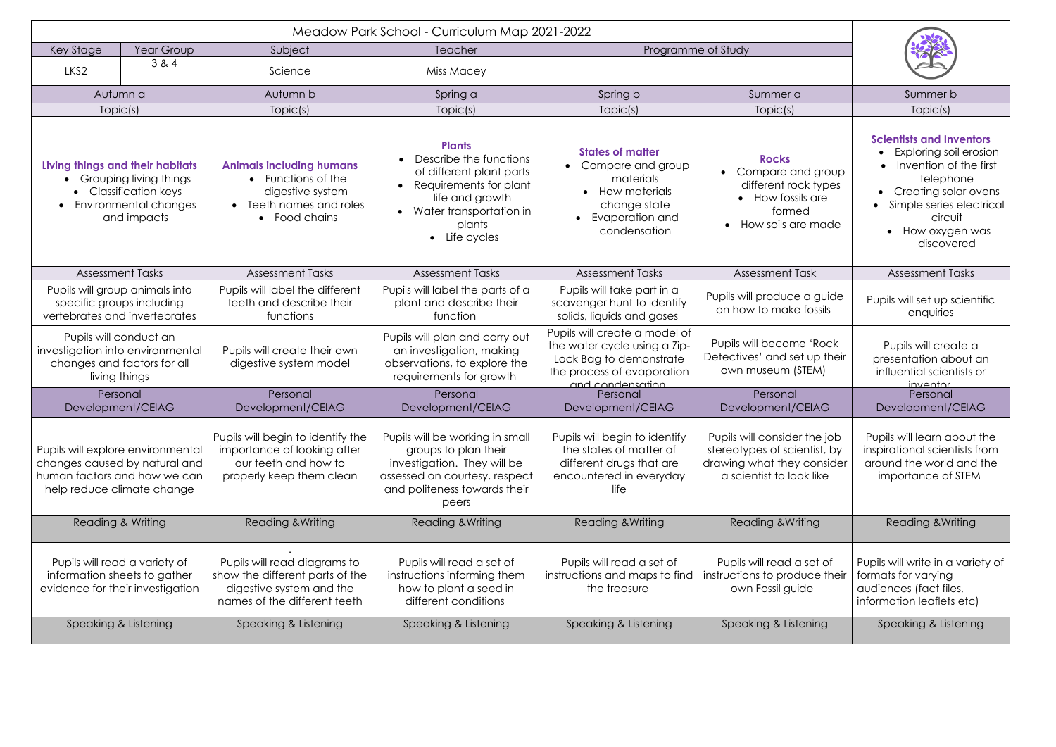| Key Stage                                                                                                                        | Year Group<br>Subject |                                                                                                                             | Teacher                                                                                                                                                                  | Programme of Study                                                                                                                         |                                                                                                                        |                                                                                                                                                                                                                |
|----------------------------------------------------------------------------------------------------------------------------------|-----------------------|-----------------------------------------------------------------------------------------------------------------------------|--------------------------------------------------------------------------------------------------------------------------------------------------------------------------|--------------------------------------------------------------------------------------------------------------------------------------------|------------------------------------------------------------------------------------------------------------------------|----------------------------------------------------------------------------------------------------------------------------------------------------------------------------------------------------------------|
| LKS <sub>2</sub>                                                                                                                 | 3 & 4                 | Science                                                                                                                     | Miss Macey                                                                                                                                                               |                                                                                                                                            |                                                                                                                        |                                                                                                                                                                                                                |
| Autumn a                                                                                                                         |                       | Autumn b                                                                                                                    | Spring a                                                                                                                                                                 | Spring b                                                                                                                                   | Summer a                                                                                                               | Summer b                                                                                                                                                                                                       |
| Topic(s)                                                                                                                         |                       | Topic(s)                                                                                                                    | Topic(s)                                                                                                                                                                 | Topic(s)                                                                                                                                   | Topic(s)                                                                                                               | Topic(s)                                                                                                                                                                                                       |
| Living things and their habitats<br>Grouping living things<br><b>Classification keys</b><br>Environmental changes<br>and impacts |                       | <b>Animals including humans</b><br>• Functions of the<br>digestive system<br>Teeth names and roles<br>• Food chains         | <b>Plants</b><br>Describe the functions<br>of different plant parts<br>Requirements for plant<br>life and growth<br>• Water transportation in<br>plants<br>• Life cycles | <b>States of matter</b><br>• Compare and group<br>materials<br><b>How materials</b><br>change state<br>Evaporation and<br>condensation     | <b>Rocks</b><br>Compare and group<br>different rock types<br>• How fossils are<br>formed<br>How soils are made         | <b>Scientists and Inventors</b><br>Exploring soil erosion<br>Invention of the first<br>telephone<br>• Creating solar ovens<br>Simple series electrical<br>circuit<br>How oxygen was<br>$\bullet$<br>discovered |
| <b>Assessment Tasks</b>                                                                                                          |                       | <b>Assessment Tasks</b>                                                                                                     | <b>Assessment Tasks</b>                                                                                                                                                  | <b>Assessment Tasks</b>                                                                                                                    | <b>Assessment Task</b>                                                                                                 | <b>Assessment Tasks</b>                                                                                                                                                                                        |
| Pupils will group animals into<br>specific groups including<br>vertebrates and invertebrates                                     |                       | Pupils will label the different<br>teeth and describe their<br>functions                                                    | Pupils will label the parts of a<br>plant and describe their<br>function                                                                                                 | Pupils will take part in a<br>scavenger hunt to identify<br>solids, liquids and gases                                                      | Pupils will produce a guide<br>on how to make fossils                                                                  | Pupils will set up scientific<br>enquiries                                                                                                                                                                     |
| Pupils will conduct an<br>investigation into environmental<br>changes and factors for all<br>living things                       |                       | Pupils will create their own<br>digestive system model                                                                      | Pupils will plan and carry out<br>an investigation, making<br>observations, to explore the<br>requirements for growth                                                    | Pupils will create a model of<br>the water cycle using a Zip-<br>Lock Bag to demonstrate<br>the process of evaporation<br>and condensation | Pupils will become 'Rock<br>Detectives' and set up their<br>own museum (STEM)                                          | Pupils will create a<br>presentation about an<br>influential scientists or<br>inventor                                                                                                                         |
| Personal<br>Development/CEIAG                                                                                                    |                       | Personal<br>Development/CEIAG                                                                                               | Personal<br>Development/CEIAG                                                                                                                                            | Personal<br>Development/CEIAG                                                                                                              | Personal<br>Development/CEIAG                                                                                          | Personal<br>Development/CEIAG                                                                                                                                                                                  |
| Pupils will explore environmental<br>changes caused by natural and<br>human factors and how we can<br>help reduce climate change |                       | Pupils will begin to identify the<br>importance of looking after<br>our teeth and how to<br>properly keep them clean        | Pupils will be working in small<br>groups to plan their<br>investigation. They will be<br>assessed on courtesy, respect<br>and politeness towards their<br>peers         | Pupils will begin to identify<br>the states of matter of<br>different drugs that are<br>encountered in everyday<br>life                    | Pupils will consider the job<br>stereotypes of scientist, by<br>drawing what they consider<br>a scientist to look like | Pupils will learn about the<br>inspirational scientists from<br>around the world and the<br>importance of STEM                                                                                                 |
| Reading & Writing                                                                                                                |                       | <b>Reading &amp; Writing</b>                                                                                                | <b>Reading &amp; Writing</b>                                                                                                                                             | <b>Reading &amp; Writing</b>                                                                                                               | <b>Reading &amp; Writing</b>                                                                                           | Reading & Writing                                                                                                                                                                                              |
| Pupils will read a variety of<br>information sheets to gather<br>evidence for their investigation                                |                       | Pupils will read diagrams to<br>show the different parts of the<br>digestive system and the<br>names of the different teeth | Pupils will read a set of<br>instructions informing them<br>how to plant a seed in<br>different conditions                                                               | Pupils will read a set of<br>instructions and maps to find<br>the treasure                                                                 | Pupils will read a set of<br>instructions to produce their<br>own Fossil guide                                         | Pupils will write in a variety of<br>formats for varying<br>audiences (fact files,<br>information leaflets etc)                                                                                                |
| Speaking & Listening                                                                                                             |                       | Speaking & Listening                                                                                                        | Speaking & Listening                                                                                                                                                     | Speaking & Listening                                                                                                                       | Speaking & Listening                                                                                                   | Speaking & Listening                                                                                                                                                                                           |